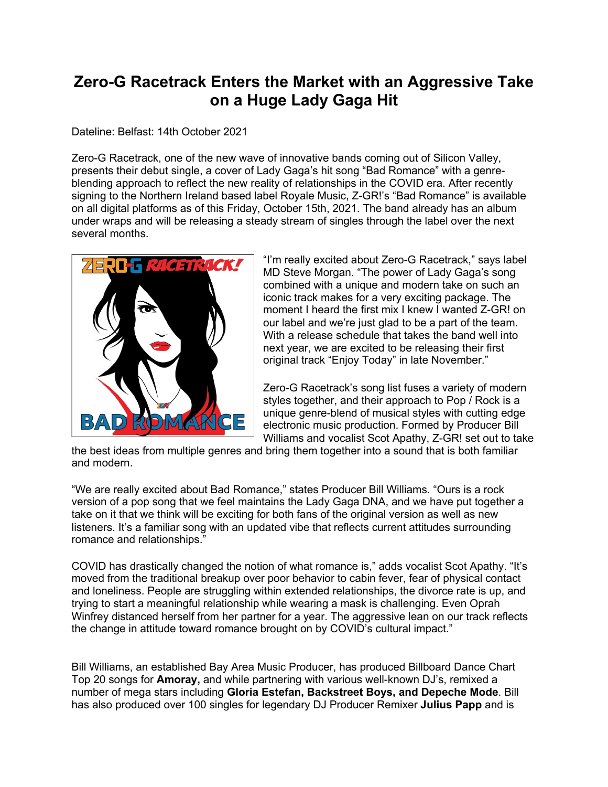## **Zero-G Racetrack Enters the Market with an Aggressive Take on a Huge Lady Gaga Hit**

Dateline: Belfast: 14th October 2021

Zero-G Racetrack, one of the new wave of innovative bands coming out of Silicon Valley, presents their debut single, a cover of Lady Gaga's hit song "Bad Romance" with a genreblending approach to reflect the new reality of relationships in the COVID era. After recently signing to the Northern Ireland based label Royale Music, Z-GR!'s "Bad Romance" is available on all digital platforms as of this Friday, October 15th, 2021. The band already has an album under wraps and will be releasing a steady stream of singles through the label over the next several months.



"I'm really excited about Zero-G Racetrack," says label MD Steve Morgan. "The power of Lady Gaga's song combined with a unique and modern take on such an iconic track makes for a very exciting package. The moment I heard the first mix I knew I wanted Z-GR! on our label and we're just glad to be a part of the team. With a release schedule that takes the band well into next year, we are excited to be releasing their first original track "Enjoy Today" in late November."

Zero-G Racetrack's song list fuses a variety of modern styles together, and their approach to Pop / Rock is a unique genre-blend of musical styles with cutting edge electronic music production. Formed by Producer Bill Williams and vocalist Scot Apathy, Z-GR! set out to take

the best ideas from multiple genres and bring them together into a sound that is both familiar and modern.

"We are really excited about Bad Romance," states Producer Bill Williams. "Ours is a rock version of a pop song that we feel maintains the Lady Gaga DNA, and we have put together a take on it that we think will be exciting for both fans of the original version as well as new listeners. It's a familiar song with an updated vibe that reflects current attitudes surrounding romance and relationships."

COVID has drastically changed the notion of what romance is," adds vocalist Scot Apathy. "It's moved from the traditional breakup over poor behavior to cabin fever, fear of physical contact and loneliness. People are struggling within extended relationships, the divorce rate is up, and trying to start a meaningful relationship while wearing a mask is challenging. Even Oprah Winfrey distanced herself from her partner for a year. The aggressive lean on our track reflects the change in attitude toward romance brought on by COVID's cultural impact."

Bill Williams, an established Bay Area Music Producer, has produced Billboard Dance Chart Top 20 songs for **Amoray,** and while partnering with various well-known DJ's, remixed a number of mega stars including **Gloria Estefan, Backstreet Boys, and Depeche Mode**. Bill has also produced over 100 singles for legendary DJ Producer Remixer **Julius Papp** and is